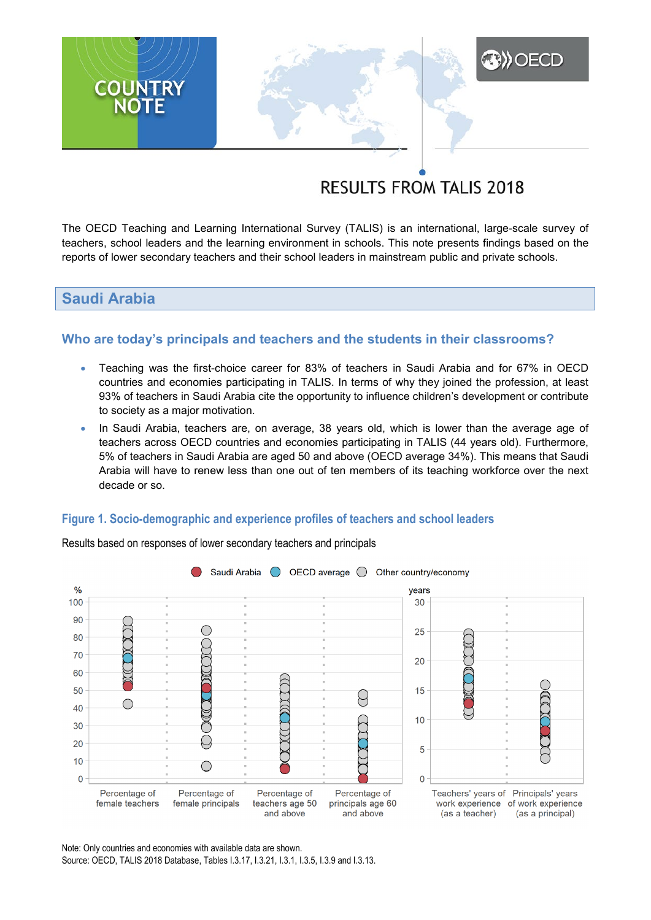# **RESULTS FROM TALIS 2018**

**A)** OECD

The OECD Teaching and Learning International Survey (TALIS) is an international, large-scale survey of teachers, school leaders and the learning environment in schools. This note presents findings based on the reports of lower secondary teachers and their school leaders in mainstream public and private schools.

## **Saudi Arabia**

**COUNTRY**<br>NOTE

## **Who are today's principals and teachers and the students in their classrooms?**

- Teaching was the first-choice career for 83% of teachers in Saudi Arabia and for 67% in OECD countries and economies participating in TALIS. In terms of why they joined the profession, at least 93% of teachers in Saudi Arabia cite the opportunity to influence children's development or contribute to society as a major motivation.
- In Saudi Arabia, teachers are, on average, 38 years old, which is lower than the average age of teachers across OECD countries and economies participating in TALIS (44 years old). Furthermore, 5% of teachers in Saudi Arabia are aged 50 and above (OECD average 34%). This means that Saudi Arabia will have to renew less than one out of ten members of its teaching workforce over the next decade or so.

#### **Figure 1. Socio-demographic and experience profiles of teachers and school leaders**



Results based on responses of lower secondary teachers and principals

Note: Only countries and economies with available data are shown. Source: OECD, TALIS 2018 Database, Tables I.3.17, I.3.21, I.3.1, I.3.5, I.3.9 and I.3.13.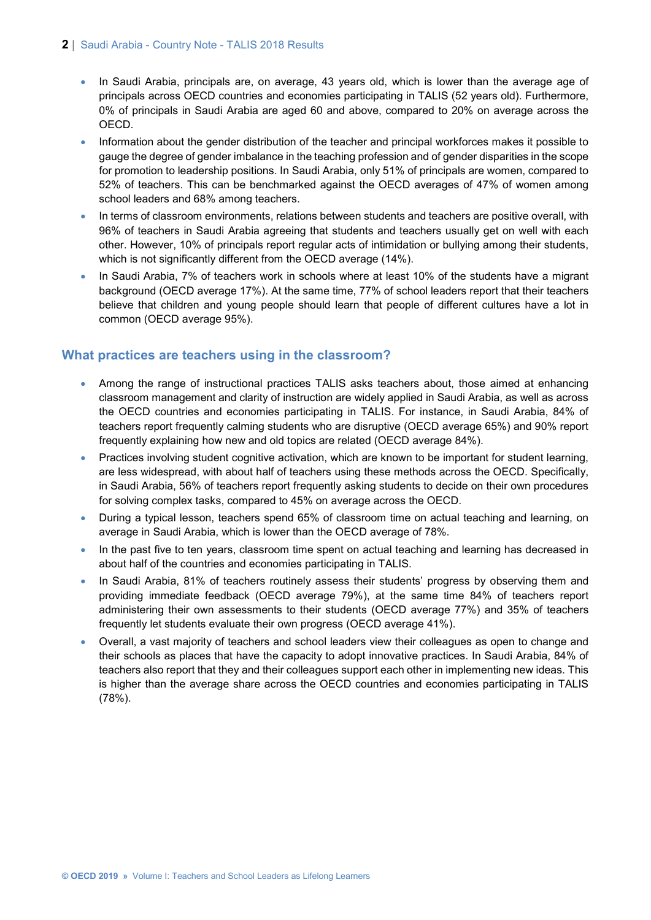#### **2** | Saudi Arabia - Country Note - TALIS 2018 Results

- In Saudi Arabia, principals are, on average, 43 years old, which is lower than the average age of principals across OECD countries and economies participating in TALIS (52 years old). Furthermore, 0% of principals in Saudi Arabia are aged 60 and above, compared to 20% on average across the OECD.
- Information about the gender distribution of the teacher and principal workforces makes it possible to gauge the degree of gender imbalance in the teaching profession and of gender disparities in the scope for promotion to leadership positions. In Saudi Arabia, only 51% of principals are women, compared to 52% of teachers. This can be benchmarked against the OECD averages of 47% of women among school leaders and 68% among teachers.
- In terms of classroom environments, relations between students and teachers are positive overall, with 96% of teachers in Saudi Arabia agreeing that students and teachers usually get on well with each other. However, 10% of principals report regular acts of intimidation or bullying among their students, which is not significantly different from the OECD average (14%).
- In Saudi Arabia, 7% of teachers work in schools where at least 10% of the students have a migrant background (OECD average 17%). At the same time, 77% of school leaders report that their teachers believe that children and young people should learn that people of different cultures have a lot in common (OECD average 95%).

## **What practices are teachers using in the classroom?**

- Among the range of instructional practices TALIS asks teachers about, those aimed at enhancing classroom management and clarity of instruction are widely applied in Saudi Arabia, as well as across the OECD countries and economies participating in TALIS. For instance, in Saudi Arabia, 84% of teachers report frequently calming students who are disruptive (OECD average 65%) and 90% report frequently explaining how new and old topics are related (OECD average 84%).
- Practices involving student cognitive activation, which are known to be important for student learning, are less widespread, with about half of teachers using these methods across the OECD. Specifically, in Saudi Arabia, 56% of teachers report frequently asking students to decide on their own procedures for solving complex tasks, compared to 45% on average across the OECD.
- During a typical lesson, teachers spend 65% of classroom time on actual teaching and learning, on average in Saudi Arabia, which is lower than the OECD average of 78%.
- In the past five to ten years, classroom time spent on actual teaching and learning has decreased in about half of the countries and economies participating in TALIS.
- In Saudi Arabia, 81% of teachers routinely assess their students' progress by observing them and providing immediate feedback (OECD average 79%), at the same time 84% of teachers report administering their own assessments to their students (OECD average 77%) and 35% of teachers frequently let students evaluate their own progress (OECD average 41%).
- Overall, a vast majority of teachers and school leaders view their colleagues as open to change and their schools as places that have the capacity to adopt innovative practices. In Saudi Arabia, 84% of teachers also report that they and their colleagues support each other in implementing new ideas. This is higher than the average share across the OECD countries and economies participating in TALIS (78%).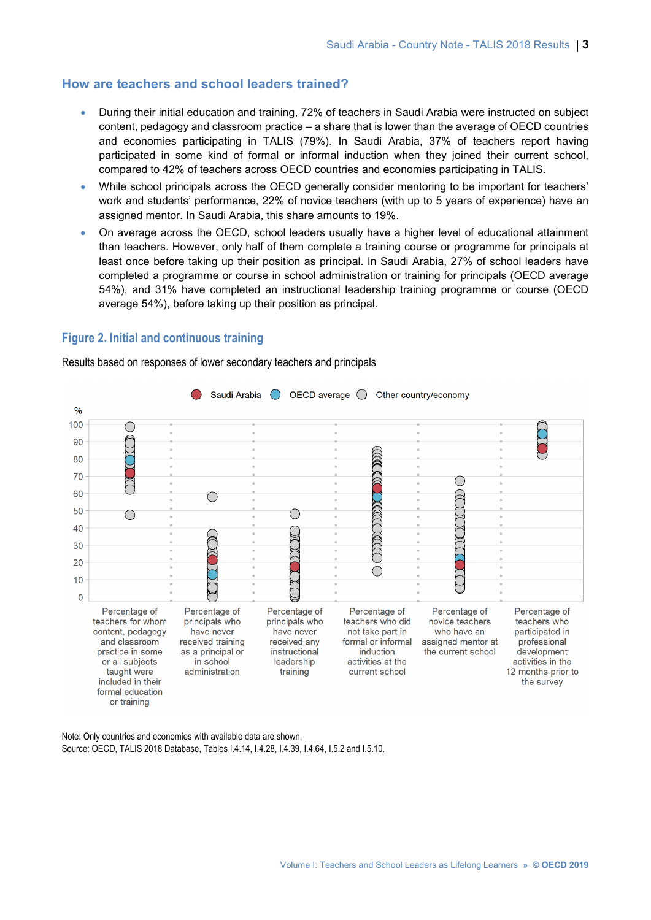### **How are teachers and school leaders trained?**

- During their initial education and training, 72% of teachers in Saudi Arabia were instructed on subject content, pedagogy and classroom practice – a share that is lower than the average of OECD countries and economies participating in TALIS (79%). In Saudi Arabia, 37% of teachers report having participated in some kind of formal or informal induction when they joined their current school, compared to 42% of teachers across OECD countries and economies participating in TALIS.
- While school principals across the OECD generally consider mentoring to be important for teachers' work and students' performance, 22% of novice teachers (with up to 5 years of experience) have an assigned mentor. In Saudi Arabia, this share amounts to 19%.
- On average across the OECD, school leaders usually have a higher level of educational attainment than teachers. However, only half of them complete a training course or programme for principals at least once before taking up their position as principal. In Saudi Arabia, 27% of school leaders have completed a programme or course in school administration or training for principals (OECD average 54%), and 31% have completed an instructional leadership training programme or course (OECD average 54%), before taking up their position as principal.

#### **Figure 2. Initial and continuous training**

Results based on responses of lower secondary teachers and principals



Note: Only countries and economies with available data are shown. Source: OECD, TALIS 2018 Database, Tables I.4.14, I.4.28, I.4.39, I.4.64, I.5.2 and I.5.10.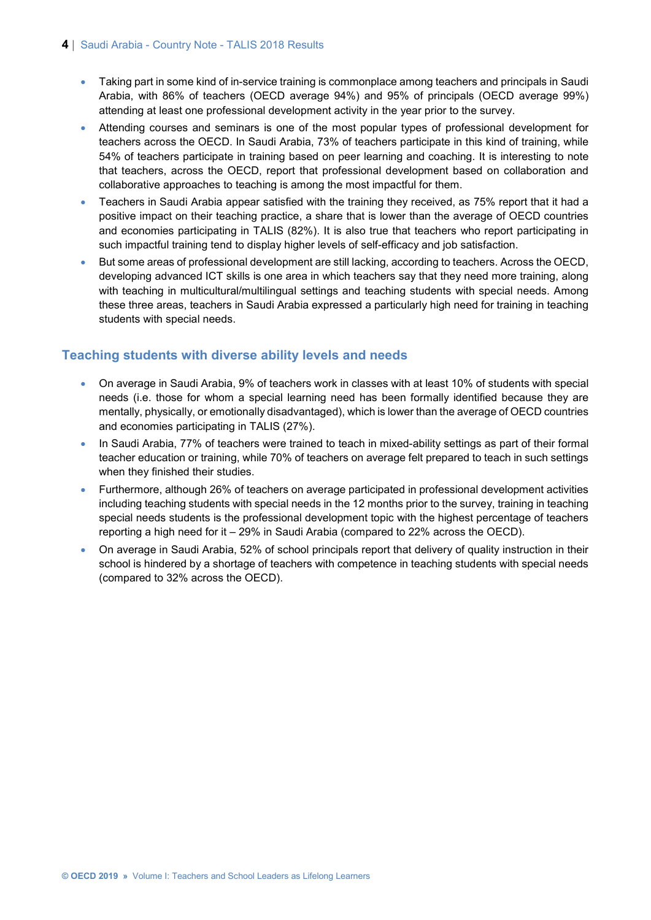- Taking part in some kind of in-service training is commonplace among teachers and principals in Saudi Arabia, with 86% of teachers (OECD average 94%) and 95% of principals (OECD average 99%) attending at least one professional development activity in the year prior to the survey.
- Attending courses and seminars is one of the most popular types of professional development for teachers across the OECD. In Saudi Arabia, 73% of teachers participate in this kind of training, while 54% of teachers participate in training based on peer learning and coaching. It is interesting to note that teachers, across the OECD, report that professional development based on collaboration and collaborative approaches to teaching is among the most impactful for them.
- Teachers in Saudi Arabia appear satisfied with the training they received, as 75% report that it had a positive impact on their teaching practice, a share that is lower than the average of OECD countries and economies participating in TALIS (82%). It is also true that teachers who report participating in such impactful training tend to display higher levels of self-efficacy and job satisfaction.
- But some areas of professional development are still lacking, according to teachers. Across the OECD, developing advanced ICT skills is one area in which teachers say that they need more training, along with teaching in multicultural/multilingual settings and teaching students with special needs. Among these three areas, teachers in Saudi Arabia expressed a particularly high need for training in teaching students with special needs.

## **Teaching students with diverse ability levels and needs**

- On average in Saudi Arabia, 9% of teachers work in classes with at least 10% of students with special needs (i.e. those for whom a special learning need has been formally identified because they are mentally, physically, or emotionally disadvantaged), which is lower than the average of OECD countries and economies participating in TALIS (27%).
- In Saudi Arabia, 77% of teachers were trained to teach in mixed-ability settings as part of their formal teacher education or training, while 70% of teachers on average felt prepared to teach in such settings when they finished their studies.
- Furthermore, although 26% of teachers on average participated in professional development activities including teaching students with special needs in the 12 months prior to the survey, training in teaching special needs students is the professional development topic with the highest percentage of teachers reporting a high need for it – 29% in Saudi Arabia (compared to 22% across the OECD).
- On average in Saudi Arabia, 52% of school principals report that delivery of quality instruction in their school is hindered by a shortage of teachers with competence in teaching students with special needs (compared to 32% across the OECD).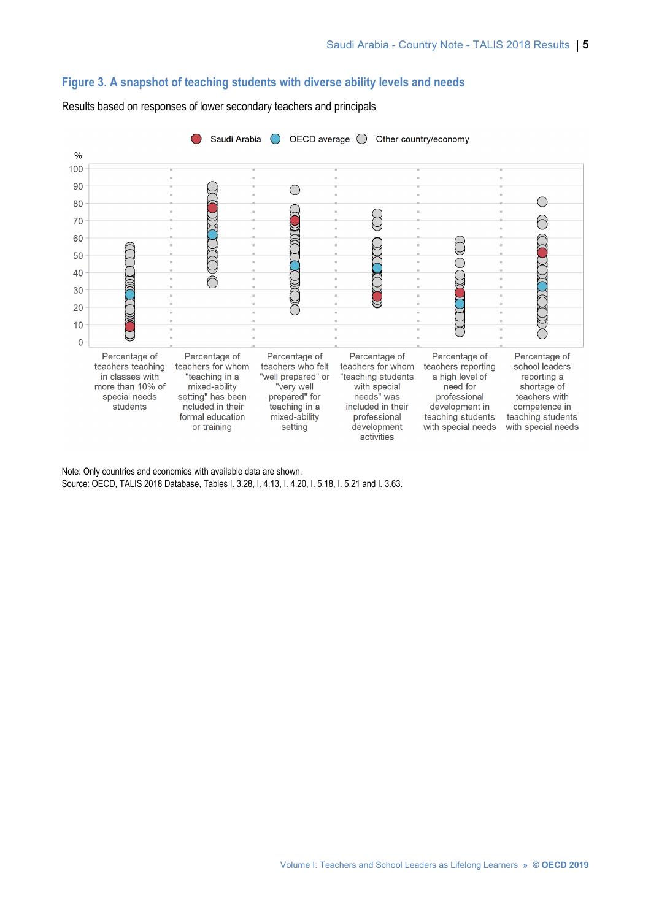### **Figure 3. A snapshot of teaching students with diverse ability levels and needs**



Results based on responses of lower secondary teachers and principals

Note: Only countries and economies with available data are shown. Source: OECD, TALIS 2018 Database, Tables I. 3.28, I. 4.13, I. 4.20, I. 5.18, I. 5.21 and I. 3.63.